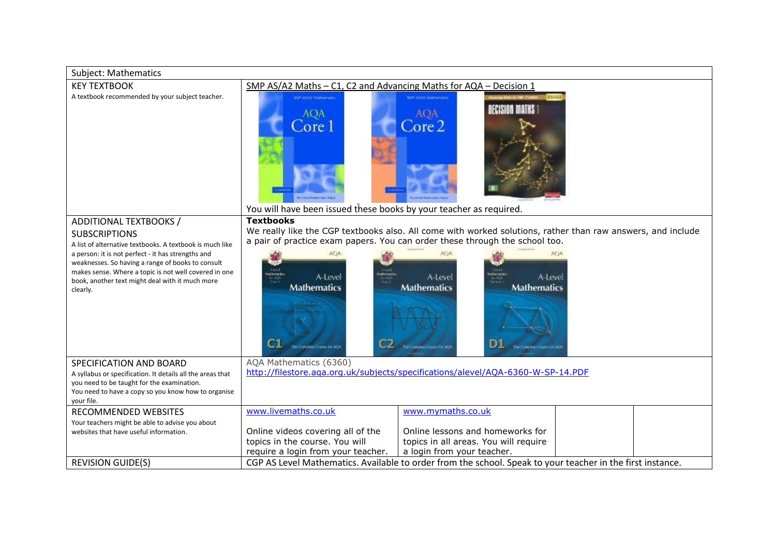| Subject: Mathematics                                                                                                                                                                                                                                                                                                                          |                                                                                                                                  |                                                                                                                                                                                                                                                                                                                                          |  |
|-----------------------------------------------------------------------------------------------------------------------------------------------------------------------------------------------------------------------------------------------------------------------------------------------------------------------------------------------|----------------------------------------------------------------------------------------------------------------------------------|------------------------------------------------------------------------------------------------------------------------------------------------------------------------------------------------------------------------------------------------------------------------------------------------------------------------------------------|--|
| SMP AS/A2 Maths - C1, C2 and Advancing Maths for AQA - Decision 1                                                                                                                                                                                                                                                                             |                                                                                                                                  |                                                                                                                                                                                                                                                                                                                                          |  |
| <b>KEY TEXTBOOK</b><br>A textbook recommended by your subject teacher.                                                                                                                                                                                                                                                                        | <b>SMF AS/AZ Methematics</b><br><b>AQA</b><br>Core 1<br>You will have been issued these books by your teacher as required.       | WE ASAZ Mathematics<br>DECISION MATHS<br><b>AQA</b><br>$\text{Core } 2$                                                                                                                                                                                                                                                                  |  |
| ADDITIONAL TEXTBOOKS /<br><b>SUBSCRIPTIONS</b><br>A list of alternative textbooks. A textbook is much like<br>a person: it is not perfect - it has strengths and<br>weaknesses. So having a range of books to consult<br>makes sense. Where a topic is not well covered in one<br>book, another text might deal with it much more<br>clearly. | <b>Textbooks</b><br>A-Level<br><b>Mathematics</b><br>C1<br>The Correlial Course for ADA                                          | We really like the CGP textbooks also. All come with worked solutions, rather than raw answers, and include<br>a pair of practice exam papers. You can order these through the school too.<br>A-Level<br>A-Level<br><b>Mathematics</b><br><b>Mathematics</b><br>D <sub>1</sub><br>(mileto Course fair AQ)<br>The Conneless Course for AQ |  |
| SPECIFICATION AND BOARD<br>A syllabus or specification. It details all the areas that<br>you need to be taught for the examination.<br>You need to have a copy so you know how to organise<br>vour file.                                                                                                                                      | AQA Mathematics (6360)<br>http://filestore.aga.org.uk/subjects/specifications/alevel/AQA-6360-W-SP-14.PDF                        |                                                                                                                                                                                                                                                                                                                                          |  |
| RECOMMENDED WEBSITES<br>Your teachers might be able to advise you about<br>websites that have useful information.                                                                                                                                                                                                                             | www.livemaths.co.uk<br>Online videos covering all of the<br>topics in the course. You will<br>require a login from your teacher. | www.mymaths.co.uk<br>Online lessons and homeworks for<br>topics in all areas. You will require<br>a login from your teacher.                                                                                                                                                                                                             |  |
| <b>REVISION GUIDE(S)</b>                                                                                                                                                                                                                                                                                                                      | CGP AS Level Mathematics. Available to order from the school. Speak to your teacher in the first instance.                       |                                                                                                                                                                                                                                                                                                                                          |  |